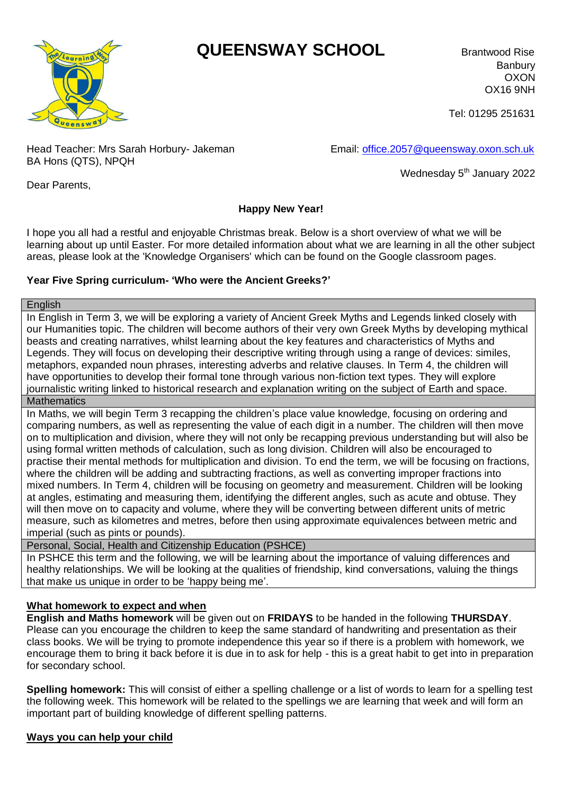# **QUEENSWAY SCHOOL** Brantwood Rise



Banbury OXON OX16 9NH

Tel: 01295 251631

Head Teacher: Mrs Sarah Horbury- Jakeman Email: [office.2057@queensway.oxon.sch.uk](mailto:office.2057@queensway.oxon.sch.uk) BA Hons (QTS), NPQH

Wednesday 5<sup>th</sup> January 2022

Dear Parents,

### **Happy New Year!**

I hope you all had a restful and enjoyable Christmas break. Below is a short overview of what we will be learning about up until Easter. For more detailed information about what we are learning in all the other subject areas, please look at the 'Knowledge Organisers' which can be found on the Google classroom pages.

### **Year Five Spring curriculum- 'Who were the Ancient Greeks?'**

**English** 

In English in Term 3, we will be exploring a variety of Ancient Greek Myths and Legends linked closely with our Humanities topic. The children will become authors of their very own Greek Myths by developing mythical beasts and creating narratives, whilst learning about the key features and characteristics of Myths and Legends. They will focus on developing their descriptive writing through using a range of devices: similes, metaphors, expanded noun phrases, interesting adverbs and relative clauses. In Term 4, the children will have opportunities to develop their formal tone through various non-fiction text types. They will explore journalistic writing linked to historical research and explanation writing on the subject of Earth and space. **Mathematics** 

In Maths, we will begin Term 3 recapping the children's place value knowledge, focusing on ordering and comparing numbers, as well as representing the value of each digit in a number. The children will then move on to multiplication and division, where they will not only be recapping previous understanding but will also be using formal written methods of calculation, such as long division. Children will also be encouraged to practise their mental methods for multiplication and division. To end the term, we will be focusing on fractions, where the children will be adding and subtracting fractions, as well as converting improper fractions into mixed numbers. In Term 4, children will be focusing on geometry and measurement. Children will be looking at angles, estimating and measuring them, identifying the different angles, such as acute and obtuse. They will then move on to capacity and volume, where they will be converting between different units of metric measure, such as kilometres and metres, before then using approximate equivalences between metric and imperial (such as pints or pounds).

Personal, Social, Health and Citizenship Education (PSHCE)

In PSHCE this term and the following, we will be learning about the importance of valuing differences and healthy relationships. We will be looking at the qualities of friendship, kind conversations, valuing the things that make us unique in order to be 'happy being me'.

### **What homework to expect and when**

**English and Maths homework** will be given out on **FRIDAYS** to be handed in the following **THURSDAY**. Please can you encourage the children to keep the same standard of handwriting and presentation as their class books. We will be trying to promote independence this year so if there is a problem with homework, we encourage them to bring it back before it is due in to ask for help - this is a great habit to get into in preparation for secondary school.

**Spelling homework:** This will consist of either a spelling challenge or a list of words to learn for a spelling test the following week. This homework will be related to the spellings we are learning that week and will form an important part of building knowledge of different spelling patterns.

## **Ways you can help your child**